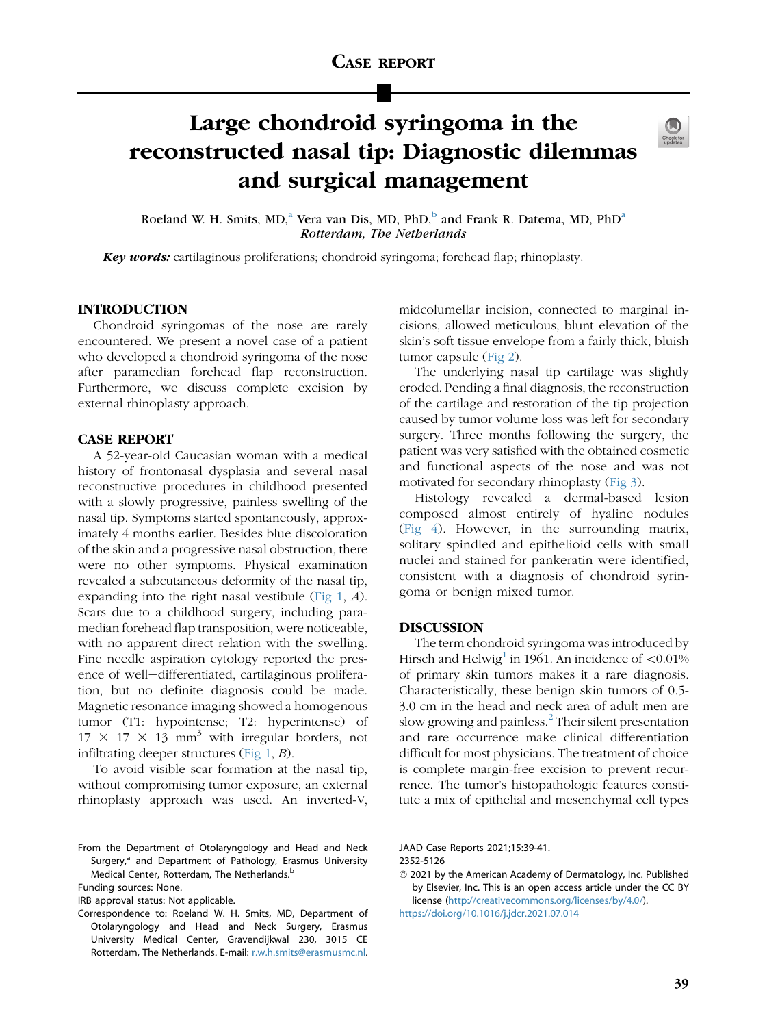# Large chondroid syringoma in the reconstructed nasal tip: Diagnostic dilemmas and surgical management



Roel[a](#page-0-0)nd W. H. Smits, MD,<sup>a</sup> Vera van Dis, MD, PhD,<sup>[b](#page-0-1)</sup> and Frank R. Datema, MD, PhD<sup>a</sup> Rotterdam, The Netherlands

Key words: cartilaginous proliferations; chondroid syringoma; forehead flap; rhinoplasty.

# INTRODUCTION

Chondroid syringomas of the nose are rarely encountered. We present a novel case of a patient who developed a chondroid syringoma of the nose after paramedian forehead flap reconstruction. Furthermore, we discuss complete excision by external rhinoplasty approach.

### CASE REPORT

A 52-year-old Caucasian woman with a medical history of frontonasal dysplasia and several nasal reconstructive procedures in childhood presented with a slowly progressive, painless swelling of the nasal tip. Symptoms started spontaneously, approximately 4 months earlier. Besides blue discoloration of the skin and a progressive nasal obstruction, there were no other symptoms. Physical examination revealed a subcutaneous deformity of the nasal tip, expanding into the right nasal vestibule [\(Fig 1,](#page-1-0) A). Scars due to a childhood surgery, including paramedian forehead flap transposition, were noticeable, with no apparent direct relation with the swelling. Fine needle aspiration cytology reported the presence of well-differentiated, cartilaginous proliferation, but no definite diagnosis could be made. Magnetic resonance imaging showed a homogenous tumor (T1: hypointense; T2: hyperintense) of  $17 \times 17 \times 13$  mm<sup>3</sup> with irregular borders, not infiltrating deeper structures (Fig  $1, B$ ).

To avoid visible scar formation at the nasal tip, without compromising tumor exposure, an external rhinoplasty approach was used. An inverted-V,

IRB approval status: Not applicable.

midcolumellar incision, connected to marginal incisions, allowed meticulous, blunt elevation of the skin's soft tissue envelope from a fairly thick, bluish tumor capsule ([Fig 2](#page-1-1)).

The underlying nasal tip cartilage was slightly eroded. Pending a final diagnosis, the reconstruction of the cartilage and restoration of the tip projection caused by tumor volume loss was left for secondary surgery. Three months following the surgery, the patient was very satisfied with the obtained cosmetic and functional aspects of the nose and was not motivated for secondary rhinoplasty [\(Fig 3\)](#page-1-2).

Histology revealed a dermal-based lesion composed almost entirely of hyaline nodules [\(Fig 4](#page-2-0)). However, in the surrounding matrix, solitary spindled and epithelioid cells with small nuclei and stained for pankeratin were identified, consistent with a diagnosis of chondroid syringoma or benign mixed tumor.

# DISCUSSION

The term chondroid syringoma was introduced by Hirsch and Helwig<sup>1</sup> in 1961. An incidence of  $\langle0.01\%$ of primary skin tumors makes it a rare diagnosis. Characteristically, these benign skin tumors of 0.5- 3.0 cm in the head and neck area of adult men are slow growing and painless.<sup>[2](#page-2-2)</sup> Their silent presentation and rare occurrence make clinical differentiation difficult for most physicians. The treatment of choice is complete margin-free excision to prevent recurrence. The tumor's histopathologic features constitute a mix of epithelial and mesenchymal cell types

<span id="page-0-0"></span>From the Department of Otolaryngology and Head and Neck Surgery,<sup>a</sup> and Department of Pathology, Erasmus University Medical Center, Rotterdam, The Netherlands.<sup>b</sup>

<span id="page-0-1"></span>Funding sources: None.

Correspondence to: Roeland W. H. Smits, MD, Department of Otolaryngology and Head and Neck Surgery, Erasmus University Medical Center, Gravendijkwal 230, 3015 CE Rotterdam, The Netherlands. E-mail: [r.w.h.smits@erasmusmc.nl.](mailto:r.w.h.smits@erasmusmc.nl)

JAAD Case Reports 2021;15:39-41.

<sup>2352-5126</sup>

2021 by the American Academy of Dermatology, Inc. Published by Elsevier, Inc. This is an open access article under the CC BY license [\(http://creativecommons.org/licenses/by/4.0/\)](http://creativecommons.org/licenses/by/4.0/).

<https://doi.org/10.1016/j.jdcr.2021.07.014>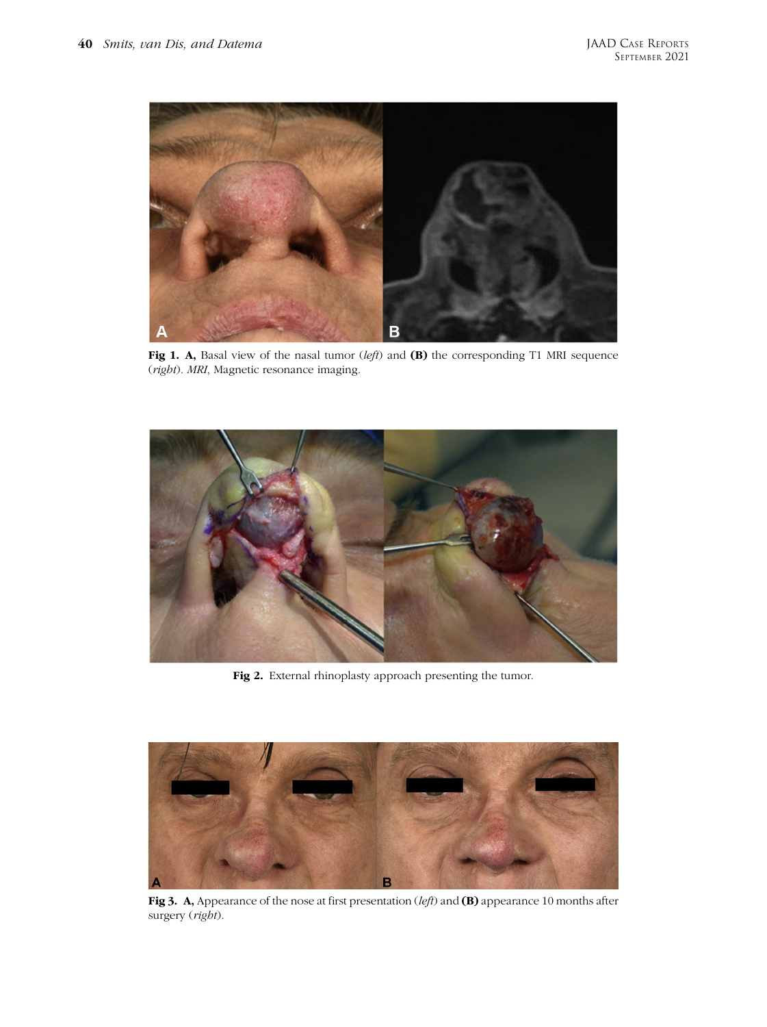<span id="page-1-0"></span>

Fig 1. A, Basal view of the nasal tumor (left) and (B) the corresponding T1 MRI sequence (right). MRI, Magnetic resonance imaging.

<span id="page-1-1"></span>

Fig 2. External rhinoplasty approach presenting the tumor.

<span id="page-1-2"></span>

Fig 3. A, Appearance of the nose at first presentation (left) and (B) appearance 10 months after surgery (right).